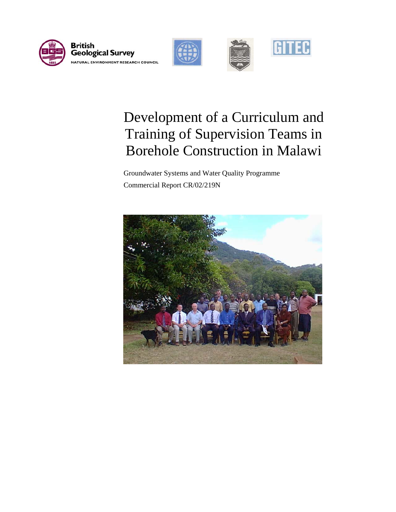



# Development of a Curriculum and Training of Supervision Teams in Borehole Construction in Malawi

 Groundwater Systems and Water Quality Programme Commercial Report CR/02/219N

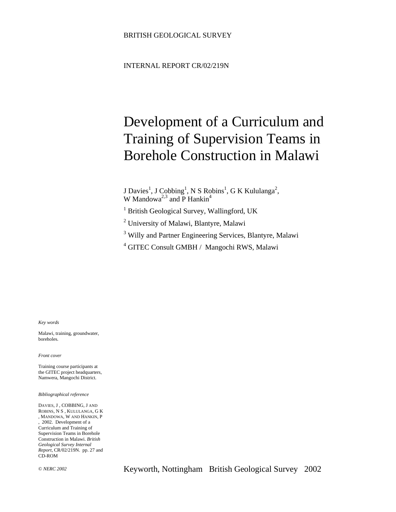INTERNAL REPORT CR/02/219N

# Development of a Curriculum and Training of Supervision Teams in Borehole Construction in Malawi

J Davies<sup>1</sup>, J Cobbing<sup>1</sup>, N S Robins<sup>1</sup>, G K Kululanga<sup>2</sup>, W Mandowa<sup>2,3</sup> and P Hankin<sup>4</sup>

<sup>1</sup> British Geological Survey, Wallingford, UK

<sup>2</sup> University of Malawi, Blantyre, Malawi

<sup>3</sup> Willy and Partner Engineering Services, Blantyre, Malawi

4 GITEC Consult GMBH / Mangochi RWS, Malawi

*Key words* 

Malawi, training, groundwater, boreholes.

*Front cover* 

Training course participants at the GITEC project headquarters, Namwera, Mangochi District.

*Bibliographical reference* 

DAVIES, J , COBBING, J AND ROBINS, N S , KULULANGA, G K , MANDOWA, W AND HANKIN, P , 2002. Development of a Curriculum and Training of Supervision Teams in Borehole Construction in Malawi. *British Geological Survey Internal Report*, CR/02/219N. pp. 27 and CD-ROM

© *NERC 2002* Keyworth, Nottingham British Geological Survey 2002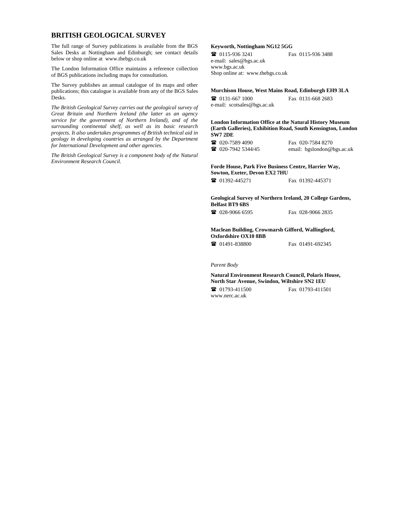#### **BRITISH GEOLOGICAL SURVEY**

The full range of Survey publications is available from the BGS Sales Desks at Nottingham and Edinburgh; see contact details below or shop online at www.thebgs.co.uk

The London Information Office maintains a reference collection of BGS publications including maps for consultation.

The Survey publishes an annual catalogue of its maps and other publications; this catalogue is available from any of the BGS Sales Desks.

*The British Geological Survey carries out the geological survey of Great Britain and Northern Ireland (the latter as an agency service for the government of Northern Ireland), and of the surrounding continental shelf, as well as its basic research projects. It also undertakes programmes of British technical aid in geology in developing countries as arranged by the Department for International Development and other agencies.* 

*The British Geological Survey is a component body of the Natural Environment Research Council.* 

#### **Keyworth, Nottingham NG12 5GG**

 0115-936 3241 Fax 0115-936 3488 e-mail: sales@bgs.ac.uk www.bgs.ac.uk Shop online at: www.thebgs.co.uk

#### **Murchison House, West Mains Road, Edinburgh EH9 3LA**

 0131-667 1000 Fax 0131-668 2683 e-mail: scotsales@bgs.ac.uk

**London Information Office at the Natural History Museum (Earth Galleries), Exhibition Road, South Kensington, London SW7 2DE** 

**2** 020-7589 4090 Fax 020-7584 8270<br> **2** 020-7942 5344/45 email: beslondon@l email: bgslondon@bgs.ac.uk

#### **Forde House, Park Five Business Centre, Harrier Way, Sowton, Exeter, Devon EX2 7HU**

01392-445271 Fax 01392-445371

**Geological Survey of Northern Ireland, 20 College Gardens, Belfast BT9 6BS** 

028-9066 6595 Fax 028-9066 2835

#### **Maclean Building, Crowmarsh Gifford, Wallingford, Oxfordshire OX10 8BB**

01491-838800 Fax 01491-692345

# *Parent Body*

**Natural Environment Research Council, Polaris House, North Star Avenue, Swindon, Wiltshire SN2 1EU**  01793-411500 Fax 01793-411501

www.nerc.ac.uk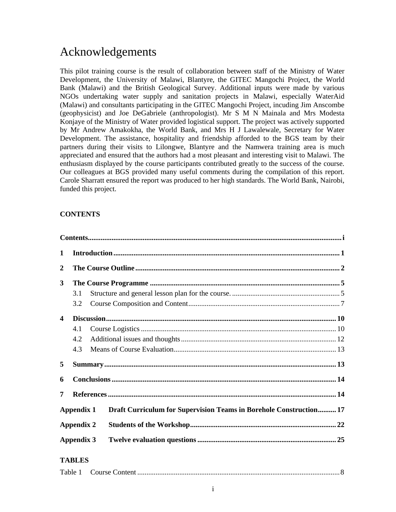# Acknowledgements

This pilot training course is the result of collaboration between staff of the Ministry of Water Development, the University of Malawi, Blantyre, the GITEC Mangochi Project, the World Bank (Malawi) and the British Geological Survey. Additional inputs were made by various NGOs undertaking water supply and sanitation projects in Malawi, especially WaterAid (Malawi) and consultants participating in the GITEC Mangochi Project, incuding Jim Anscombe (geophysicist) and Joe DeGabriele (anthropologist). Mr S M N Mainala and Mrs Modesta Konjaye of the Ministry of Water provided logistical support. The project was actively supported by Mr Andrew Amakokha, the World Bank, and Mrs H J Lawalewale, Secretary for Water Development. The assistance, hospitality and friendship afforded to the BGS team by their partners during their visits to Lilongwe, Blantyre and the Namwera training area is much appreciated and ensured that the authors had a most pleasant and interesting visit to Malawi. The enthusiasm displayed by the course participants contributed greatly to the success of the course. Our colleagues at BGS provided many useful comments during the compilation of this report. Carole Sharratt ensured the report was produced to her high standards. The World Bank, Nairobi, funded this project.

# **CONTENTS**

| 1                       |               |                                                                    |  |
|-------------------------|---------------|--------------------------------------------------------------------|--|
| $\boldsymbol{2}$        |               |                                                                    |  |
| 3                       |               |                                                                    |  |
|                         | 3.1           |                                                                    |  |
|                         | 3.2           |                                                                    |  |
| $\overline{\mathbf{4}}$ |               |                                                                    |  |
|                         | 4.1           |                                                                    |  |
|                         | 4.2           |                                                                    |  |
|                         | 4.3           |                                                                    |  |
| 5                       |               |                                                                    |  |
| 6                       |               |                                                                    |  |
| 7                       |               |                                                                    |  |
|                         | Appendix 1    | Draft Curriculum for Supervision Teams in Borehole Construction 17 |  |
| <b>Appendix 2</b>       |               |                                                                    |  |
| <b>Appendix 3</b>       |               |                                                                    |  |
|                         | <b>TABLES</b> |                                                                    |  |
|                         |               |                                                                    |  |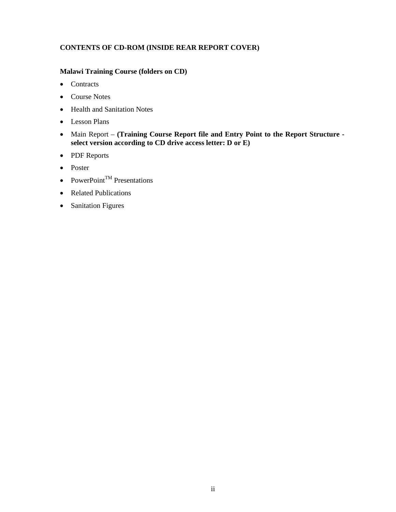# **CONTENTS OF CD-ROM (INSIDE REAR REPORT COVER)**

# **Malawi Training Course (folders on CD)**

- Contracts
- Course Notes
- Health and Sanitation Notes
- Lesson Plans
- Main Report **(Training Course Report file and Entry Point to the Report Structure select version according to CD drive access letter: D or E)**
- PDF Reports
- Poster
- PowerPoint<sup>TM</sup> Presentations
- Related Publications
- Sanitation Figures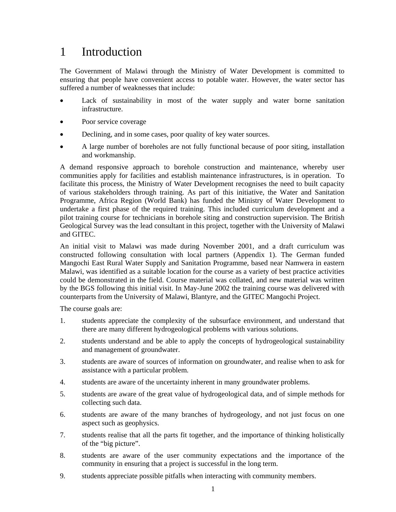# 1 Introduction

The Government of Malawi through the Ministry of Water Development is committed to ensuring that people have convenient access to potable water. However, the water sector has suffered a number of weaknesses that include:

- Lack of sustainability in most of the water supply and water borne sanitation infrastructure.
- Poor service coverage
- Declining, and in some cases, poor quality of key water sources.
- A large number of boreholes are not fully functional because of poor siting, installation and workmanship.

A demand responsive approach to borehole construction and maintenance, whereby user communities apply for facilities and establish maintenance infrastructures, is in operation. To facilitate this process, the Ministry of Water Development recognises the need to built capacity of various stakeholders through training. As part of this initiative, the Water and Sanitation Programme, Africa Region (World Bank) has funded the Ministry of Water Development to undertake a first phase of the required training. This included curriculum development and a pilot training course for technicians in borehole siting and construction supervision. The British Geological Survey was the lead consultant in this project, together with the University of Malawi and GITEC.

An initial visit to Malawi was made during November 2001, and a draft curriculum was constructed following consultation with local partners (Appendix 1). The German funded Mangochi East Rural Water Supply and Sanitation Programme, based near Namwera in eastern Malawi, was identified as a suitable location for the course as a variety of best practice activities could be demonstrated in the field. Course material was collated, and new material was written by the BGS following this initial visit. In May-June 2002 the training course was delivered with counterparts from the University of Malawi, Blantyre, and the GITEC Mangochi Project.

The course goals are:

- 1. students appreciate the complexity of the subsurface environment, and understand that there are many different hydrogeological problems with various solutions.
- 2. students understand and be able to apply the concepts of hydrogeological sustainability and management of groundwater.
- 3. students are aware of sources of information on groundwater, and realise when to ask for assistance with a particular problem.
- 4. students are aware of the uncertainty inherent in many groundwater problems.
- 5. students are aware of the great value of hydrogeological data, and of simple methods for collecting such data.
- 6. students are aware of the many branches of hydrogeology, and not just focus on one aspect such as geophysics.
- 7. students realise that all the parts fit together, and the importance of thinking holistically of the "big picture".
- 8. students are aware of the user community expectations and the importance of the community in ensuring that a project is successful in the long term.
- 9. students appreciate possible pitfalls when interacting with community members.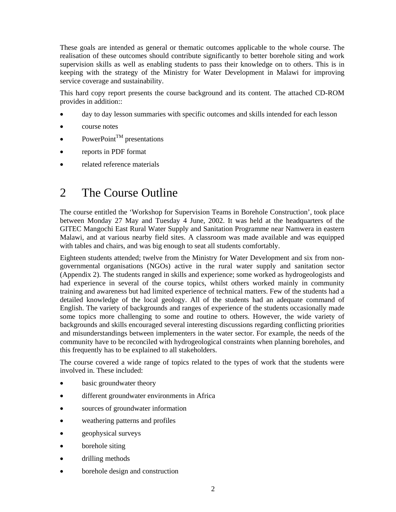These goals are intended as general or thematic outcomes applicable to the whole course. The realisation of these outcomes should contribute significantly to better borehole siting and work supervision skills as well as enabling students to pass their knowledge on to others. This is in keeping with the strategy of the Ministry for Water Development in Malawi for improving service coverage and sustainability.

This hard copy report presents the course background and its content. The attached CD-ROM provides in addition::

- day to day lesson summaries with specific outcomes and skills intended for each lesson
- course notes
- PowerPoint<sup>TM</sup> presentations
- reports in PDF format
- related reference materials

# 2 The Course Outline

The course entitled the 'Workshop for Supervision Teams in Borehole Construction', took place between Monday 27 May and Tuesday 4 June, 2002. It was held at the headquarters of the GITEC Mangochi East Rural Water Supply and Sanitation Programme near Namwera in eastern Malawi, and at various nearby field sites. A classroom was made available and was equipped with tables and chairs, and was big enough to seat all students comfortably.

Eighteen students attended; twelve from the Ministry for Water Development and six from nongovernmental organisations (NGOs) active in the rural water supply and sanitation sector (Appendix 2). The students ranged in skills and experience; some worked as hydrogeologists and had experience in several of the course topics, whilst others worked mainly in community training and awareness but had limited experience of technical matters. Few of the students had a detailed knowledge of the local geology. All of the students had an adequate command of English. The variety of backgrounds and ranges of experience of the students occasionally made some topics more challenging to some and routine to others. However, the wide variety of backgrounds and skills encouraged several interesting discussions regarding conflicting priorities and misunderstandings between implementers in the water sector. For example, the needs of the community have to be reconciled with hydrogeological constraints when planning boreholes, and this frequently has to be explained to all stakeholders.

The course covered a wide range of topics related to the types of work that the students were involved in. These included:

- basic groundwater theory
- different groundwater environments in Africa
- sources of groundwater information
- weathering patterns and profiles
- geophysical surveys
- borehole siting
- drilling methods
- borehole design and construction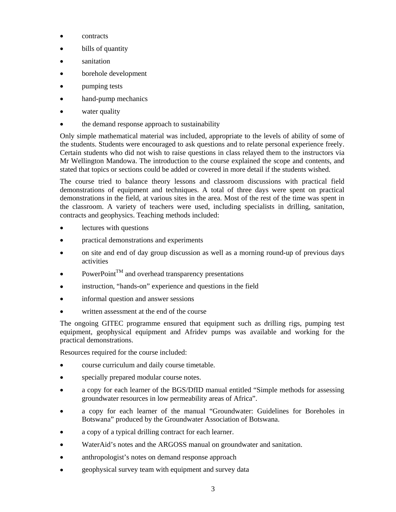- contracts
- bills of quantity
- sanitation
- borehole development
- pumping tests
- hand-pump mechanics
- water quality
- the demand response approach to sustainability

Only simple mathematical material was included, appropriate to the levels of ability of some of the students. Students were encouraged to ask questions and to relate personal experience freely. Certain students who did not wish to raise questions in class relayed them to the instructors via Mr Wellington Mandowa. The introduction to the course explained the scope and contents, and stated that topics or sections could be added or covered in more detail if the students wished.

The course tried to balance theory lessons and classroom discussions with practical field demonstrations of equipment and techniques. A total of three days were spent on practical demonstrations in the field, at various sites in the area. Most of the rest of the time was spent in the classroom. A variety of teachers were used, including specialists in drilling, sanitation, contracts and geophysics. Teaching methods included:

- lectures with questions
- practical demonstrations and experiments
- on site and end of day group discussion as well as a morning round-up of previous days activities
- $PowerPoint^{TM}$  and overhead transparency presentations
- instruction, "hands-on" experience and questions in the field
- informal question and answer sessions
- written assessment at the end of the course

The ongoing GITEC programme ensured that equipment such as drilling rigs, pumping test equipment, geophysical equipment and Afridev pumps was available and working for the practical demonstrations.

Resources required for the course included:

- course curriculum and daily course timetable.
- specially prepared modular course notes.
- a copy for each learner of the BGS/DfID manual entitled "Simple methods for assessing groundwater resources in low permeability areas of Africa".
- a copy for each learner of the manual "Groundwater: Guidelines for Boreholes in Botswana" produced by the Groundwater Association of Botswana.
- a copy of a typical drilling contract for each learner.
- WaterAid's notes and the ARGOSS manual on groundwater and sanitation.
- anthropologist's notes on demand response approach
- geophysical survey team with equipment and survey data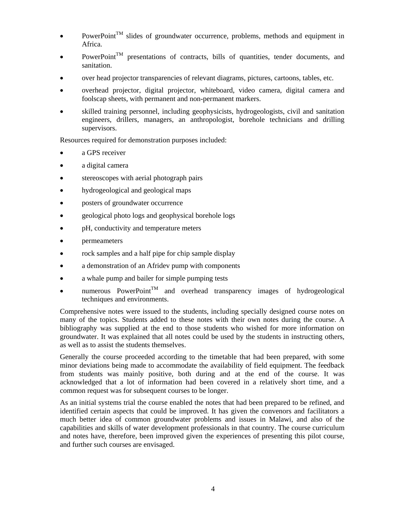- $PowerPoint^{TM}$  slides of groundwater occurrence, problems, methods and equipment in Africa.
- PowerPoint<sup>TM</sup> presentations of contracts, bills of quantities, tender documents, and sanitation.
- over head projector transparencies of relevant diagrams, pictures, cartoons, tables, etc.
- overhead projector, digital projector, whiteboard, video camera, digital camera and foolscap sheets, with permanent and non-permanent markers.
- skilled training personnel, including geophysicists, hydrogeologists, civil and sanitation engineers, drillers, managers, an anthropologist, borehole technicians and drilling supervisors.

Resources required for demonstration purposes included:

- a GPS receiver
- a digital camera
- stereoscopes with aerial photograph pairs
- hydrogeological and geological maps
- posters of groundwater occurrence
- geological photo logs and geophysical borehole logs
- pH, conductivity and temperature meters
- permeameters
- rock samples and a half pipe for chip sample display
- a demonstration of an Afridev pump with components
- a whale pump and bailer for simple pumping tests
- numerous PowerPoint<sup>TM</sup> and overhead transparency images of hydrogeological techniques and environments.

Comprehensive notes were issued to the students, including specially designed course notes on many of the topics. Students added to these notes with their own notes during the course. A bibliography was supplied at the end to those students who wished for more information on groundwater. It was explained that all notes could be used by the students in instructing others, as well as to assist the students themselves.

Generally the course proceeded according to the timetable that had been prepared, with some minor deviations being made to accommodate the availability of field equipment. The feedback from students was mainly positive, both during and at the end of the course. It was acknowledged that a lot of information had been covered in a relatively short time, and a common request was for subsequent courses to be longer.

As an initial systems trial the course enabled the notes that had been prepared to be refined, and identified certain aspects that could be improved. It has given the convenors and facilitators a much better idea of common groundwater problems and issues in Malawi, and also of the capabilities and skills of water development professionals in that country. The course curriculum and notes have, therefore, been improved given the experiences of presenting this pilot course, and further such courses are envisaged.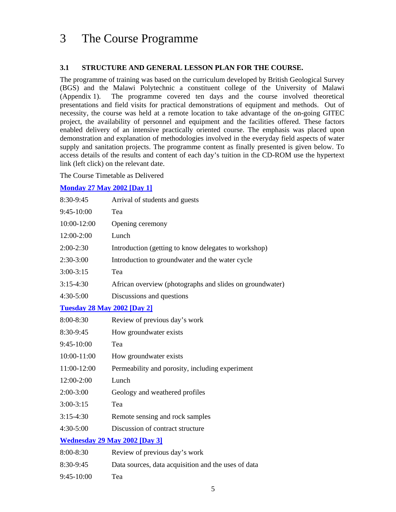# 3 The Course Programme

# **3.1 STRUCTURE AND GENERAL LESSON PLAN FOR THE COURSE.**

The programme of training was based on the curriculum developed by British Geological Survey (BGS) and the Malawi Polytechnic a constituent college of the University of Malawi (Appendix 1). The programme covered ten days and the course involved theoretical presentations and field visits for practical demonstrations of equipment and methods. Out of necessity, the course was held at a remote location to take advantage of the on-going GITEC project, the availability of personnel and equipment and the facilities offered. These factors enabled delivery of an intensive practically oriented course. The emphasis was placed upon demonstration and explanation of methodologies involved in the everyday field aspects of water supply and sanitation projects. The programme content as finally presented is given below. To access details of the results and content of each day's tuition in the CD-ROM use the hypertext link (left click) on the relevant date.

The Course Timetable as Delivered

## **Monday 27 May 2002 [Day 1]**

| 8:30-9:45                            | Arrival of students and guests                           |  |  |
|--------------------------------------|----------------------------------------------------------|--|--|
| 9:45-10:00                           | Tea                                                      |  |  |
| 10:00-12:00                          | Opening ceremony                                         |  |  |
| 12:00-2:00                           | Lunch                                                    |  |  |
| $2:00-2:30$                          | Introduction (getting to know delegates to workshop)     |  |  |
| 2:30-3:00                            | Introduction to groundwater and the water cycle          |  |  |
| $3:00 - 3:15$                        | Tea                                                      |  |  |
| $3:15-4:30$                          | African overview (photographs and slides on groundwater) |  |  |
| 4:30-5:00                            | Discussions and questions                                |  |  |
| <b>Tuesday 28 May 2002 [Day 2]</b>   |                                                          |  |  |
| 8:00-8:30                            | Review of previous day's work                            |  |  |
| 8:30-9:45                            | How groundwater exists                                   |  |  |
| 9:45-10:00                           | Tea                                                      |  |  |
| 10:00-11:00                          | How groundwater exists                                   |  |  |
| 11:00-12:00                          | Permeability and porosity, including experiment          |  |  |
| 12:00-2:00                           | Lunch                                                    |  |  |
| 2:00-3:00                            | Geology and weathered profiles                           |  |  |
| $3:00 - 3:15$                        | Tea                                                      |  |  |
| $3:15-4:30$                          | Remote sensing and rock samples                          |  |  |
| 4:30-5:00                            | Discussion of contract structure                         |  |  |
| <b>Wednesday 29 May 2002 [Day 3]</b> |                                                          |  |  |
| 8:00-8:30                            | Review of previous day's work                            |  |  |
| 8:30-9:45                            | Data sources, data acquisition and the uses of data      |  |  |
| 9:45-10:00                           | Tea                                                      |  |  |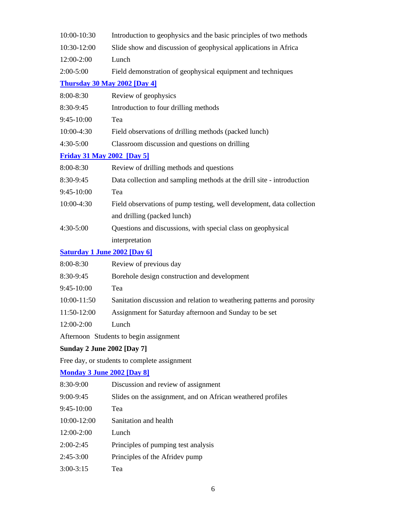| 10:00-10:30<br>Introduction to geophysics and the basic principles of two methods |                                                                        |  |  |
|-----------------------------------------------------------------------------------|------------------------------------------------------------------------|--|--|
| 10:30-12:00<br>Slide show and discussion of geophysical applications in Africa    |                                                                        |  |  |
| Lunch<br>12:00-2:00                                                               |                                                                        |  |  |
| $2:00-5:00$                                                                       | Field demonstration of geophysical equipment and techniques            |  |  |
| <b>Thursday 30 May 2002 [Day 4]</b>                                               |                                                                        |  |  |
| 8:00-8:30                                                                         | Review of geophysics                                                   |  |  |
| 8:30-9:45                                                                         | Introduction to four drilling methods                                  |  |  |
| 9:45-10:00                                                                        | Tea                                                                    |  |  |
| 10:00-4:30                                                                        | Field observations of drilling methods (packed lunch)                  |  |  |
| 4:30-5:00                                                                         | Classroom discussion and questions on drilling                         |  |  |
| <b>Friday 31 May 2002 [Day 5]</b>                                                 |                                                                        |  |  |
| 8:00-8:30                                                                         | Review of drilling methods and questions                               |  |  |
| 8:30-9:45                                                                         | Data collection and sampling methods at the drill site - introduction  |  |  |
| 9:45-10:00                                                                        | Tea                                                                    |  |  |
| 10:00-4:30                                                                        | Field observations of pump testing, well development, data collection  |  |  |
|                                                                                   | and drilling (packed lunch)                                            |  |  |
| 4:30-5:00                                                                         | Questions and discussions, with special class on geophysical           |  |  |
|                                                                                   | interpretation                                                         |  |  |
| <b>Saturday 1 June 2002 [Day 6]</b>                                               |                                                                        |  |  |
| 8:00-8:30                                                                         | Review of previous day                                                 |  |  |
| 8:30-9:45                                                                         | Borehole design construction and development                           |  |  |
| 9:45-10:00                                                                        | Tea                                                                    |  |  |
| 10:00-11:50                                                                       | Sanitation discussion and relation to weathering patterns and porosity |  |  |
| 11:50-12:00                                                                       | Assignment for Saturday afternoon and Sunday to be set                 |  |  |
| 12:00-2:00                                                                        | Lunch                                                                  |  |  |
|                                                                                   | Afternoon Students to begin assignment                                 |  |  |
| <b>Sunday 2 June 2002 [Day 7]</b>                                                 |                                                                        |  |  |
| Free day, or students to complete assignment                                      |                                                                        |  |  |
| <b>Monday 3 June 2002 [Day 8]</b>                                                 |                                                                        |  |  |
| 8:30-9:00                                                                         | Discussion and review of assignment                                    |  |  |
| $9:00 - 9:45$                                                                     | Slides on the assignment, and on African weathered profiles            |  |  |
| 9:45-10:00                                                                        | Tea                                                                    |  |  |
| 10:00-12:00                                                                       | Sanitation and health                                                  |  |  |
| 12:00-2:00                                                                        | Lunch                                                                  |  |  |
| $2:00-2:45$                                                                       | Principles of pumping test analysis                                    |  |  |
| $2:45-3:00$                                                                       | Principles of the Afridev pump                                         |  |  |
| $3:00-3:15$                                                                       | Tea                                                                    |  |  |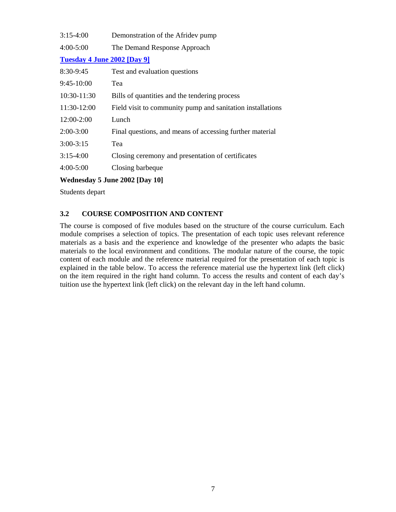| $3:15-4:00$    | Demonstration of the Afridev pump                          |  |  |  |
|----------------|------------------------------------------------------------|--|--|--|
| $4:00 - 5:00$  | The Demand Response Approach                               |  |  |  |
|                | <b>Tuesday 4 June 2002 [Day 9]</b>                         |  |  |  |
| 8:30-9:45      | Test and evaluation questions                              |  |  |  |
| $9:45-10:00$   | Tea                                                        |  |  |  |
| 10:30-11:30    | Bills of quantities and the tendering process              |  |  |  |
| 11:30-12:00    | Field visit to community pump and sanitation installations |  |  |  |
| 12:00-2:00     | Lunch                                                      |  |  |  |
| $2:00-3:00$    | Final questions, and means of accessing further material   |  |  |  |
| $3:00-3:15$    | Tea                                                        |  |  |  |
| $3:15-4:00$    | Closing ceremony and presentation of certificates          |  |  |  |
| $4:00 - 5:00$  | Closing barbeque                                           |  |  |  |
| <b>TTT T T</b> | $A \wedge A$ $B \wedge B$                                  |  |  |  |

## **Wednesday 5 June 2002 [Day 10]**

Students depart

# **3.2 COURSE COMPOSITION AND CONTENT**

The course is composed of five modules based on the structure of the course curriculum. Each module comprises a selection of topics. The presentation of each topic uses relevant reference materials as a basis and the experience and knowledge of the presenter who adapts the basic materials to the local environment and conditions. The modular nature of the course, the topic content of each module and the reference material required for the presentation of each topic is explained in the table below. To access the reference material use the hypertext link (left click) on the item required in the right hand column. To access the results and content of each day's tuition use the hypertext link (left click) on the relevant day in the left hand column.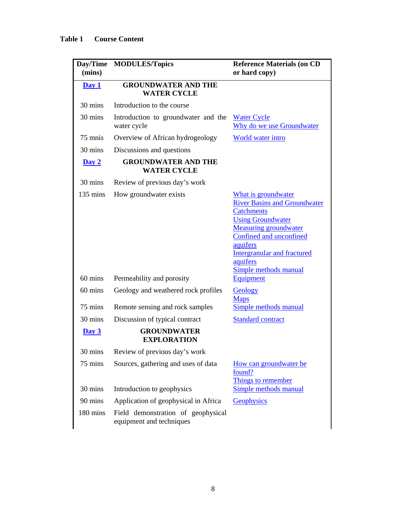| Day/Time<br>(mins) | <b>MODULES/Topics</b>                                                  | <b>Reference Materials (on CD</b><br>or hard copy)                                                                                                                                                                                                            |
|--------------------|------------------------------------------------------------------------|---------------------------------------------------------------------------------------------------------------------------------------------------------------------------------------------------------------------------------------------------------------|
| Day 1              | <b>GROUNDWATER AND THE</b><br><b>WATER CYCLE</b>                       |                                                                                                                                                                                                                                                               |
| 30 mins            | Introduction to the course                                             |                                                                                                                                                                                                                                                               |
| 30 mins            | Introduction to groundwater and the<br>water cycle                     | <b>Water Cycle</b><br>Why do we use Groundwater                                                                                                                                                                                                               |
| 75 mnis            | Overview of African hydrogeology                                       | World water intro                                                                                                                                                                                                                                             |
| 30 mins            | Discussions and questions                                              |                                                                                                                                                                                                                                                               |
| $\overline{Day 2}$ | <b>GROUNDWATER AND THE</b><br><b>WATER CYCLE</b>                       |                                                                                                                                                                                                                                                               |
| 30 mins            | Review of previous day's work                                          |                                                                                                                                                                                                                                                               |
| $135 \text{ mins}$ | How groundwater exists                                                 | What is groundwater<br><b>River Basins and Groundwater</b><br><b>Catchments</b><br><b>Using Groundwater</b><br><b>Measuring groundwater</b><br>Confined and unconfined<br>aquifers<br><b>Intergranular and fractured</b><br>aquifers<br>Simple methods manual |
| 60 mins            | Permeability and porosity                                              | <b>Equipment</b>                                                                                                                                                                                                                                              |
| 60 mins<br>75 mins | Geology and weathered rock profiles<br>Remote sensing and rock samples | Geology<br><b>Maps</b><br>Simple methods manual                                                                                                                                                                                                               |
| 30 mins            | Discussion of typical contract                                         | <b>Standard contract</b>                                                                                                                                                                                                                                      |
| Day 3              | <b>GROUNDWATER</b><br><b>EXPLORATION</b>                               |                                                                                                                                                                                                                                                               |
| 30 mins            | Review of previous day's work                                          |                                                                                                                                                                                                                                                               |
| 75 mins            | Sources, gathering and uses of data                                    | How can groundwater be<br>found?<br>Things to remember                                                                                                                                                                                                        |
| 30 mins            | Introduction to geophysics                                             | Simple methods manual                                                                                                                                                                                                                                         |
| 90 mins            | Application of geophysical in Africa                                   | Geophysics                                                                                                                                                                                                                                                    |
| 180 mins           | Field demonstration of geophysical<br>equipment and techniques         |                                                                                                                                                                                                                                                               |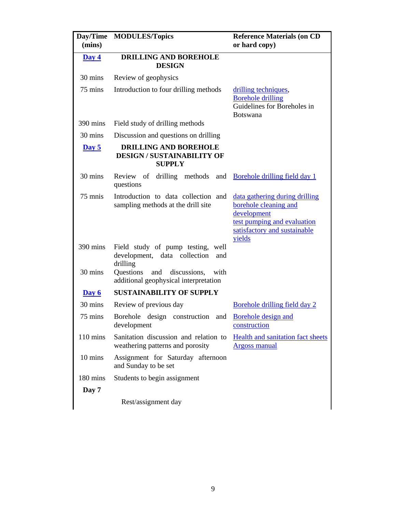| <b>Day/Time</b><br>(mins) | <b>MODULES/Topics</b>                                                                | <b>Reference Materials (on CD</b><br>or hard copy)                                                                                              |
|---------------------------|--------------------------------------------------------------------------------------|-------------------------------------------------------------------------------------------------------------------------------------------------|
| Day 4                     | <b>DRILLING AND BOREHOLE</b><br><b>DESIGN</b>                                        |                                                                                                                                                 |
| 30 mins                   | Review of geophysics                                                                 |                                                                                                                                                 |
| 75 mins                   | Introduction to four drilling methods                                                | drilling techniques,<br><b>Borehole drilling</b><br>Guidelines for Boreholes in<br><b>Botswana</b>                                              |
| 390 mins                  | Field study of drilling methods                                                      |                                                                                                                                                 |
| 30 mins                   | Discussion and questions on drilling                                                 |                                                                                                                                                 |
| $\overline{Day 5}$        | <b>DRILLING AND BOREHOLE</b><br><b>DESIGN/SUSTAINABILITY OF</b><br><b>SUPPLY</b>     |                                                                                                                                                 |
| 30 mins                   | Review of drilling methods and Borehole drilling field day 1<br>questions            |                                                                                                                                                 |
| 75 mnis                   | Introduction to data collection and<br>sampling methods at the drill site            | data gathering during drilling<br>borehole cleaning and<br>development<br>test pumping and evaluation<br>satisfactory and sustainable<br>yields |
| 390 mins                  | Field study of pump testing, well<br>development, data collection<br>and<br>drilling |                                                                                                                                                 |
| 30 mins                   | Questions<br>and discussions,<br>with<br>additional geophysical interpretation       |                                                                                                                                                 |
| Day 6                     | <b>SUSTAINABILITY OF SUPPLY</b>                                                      |                                                                                                                                                 |
| 30 mins                   | Review of previous day                                                               | Borehole drilling field day 2                                                                                                                   |
| 75 mins                   | Borehole<br>design construction<br>and<br>development                                | Borehole design and<br>construction                                                                                                             |
| $110 \text{ mins}$        | Sanitation discussion and relation to<br>weathering patterns and porosity            | <b>Health and sanitation fact sheets</b><br><b>Argoss manual</b>                                                                                |
| 10 mins                   | Assignment for Saturday afternoon<br>and Sunday to be set                            |                                                                                                                                                 |
| 180 mins                  | Students to begin assignment                                                         |                                                                                                                                                 |
| Day 7                     |                                                                                      |                                                                                                                                                 |
|                           | Rest/assignment day                                                                  |                                                                                                                                                 |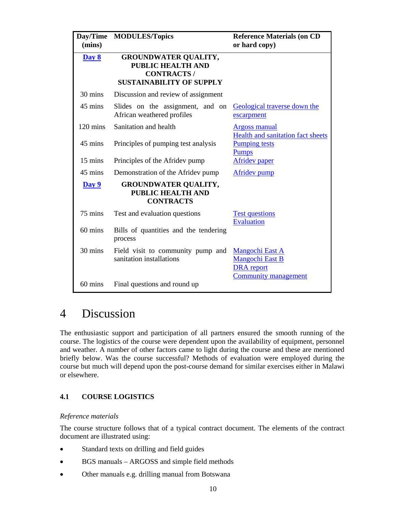| (mins)             | Day/Time MODULES/Topics                                                                                         | <b>Reference Materials (on CD</b><br>or hard copy)                                            |
|--------------------|-----------------------------------------------------------------------------------------------------------------|-----------------------------------------------------------------------------------------------|
| Day 8              | <b>GROUNDWATER QUALITY,</b><br><b>PUBLIC HEALTH AND</b><br><b>CONTRACTS/</b><br><b>SUSTAINABILITY OF SUPPLY</b> |                                                                                               |
| 30 mins            | Discussion and review of assignment                                                                             |                                                                                               |
| 45 mins            | Slides on the assignment, and on<br>African weathered profiles                                                  | Geological traverse down the<br>escarpment                                                    |
| $120 \text{ mins}$ | Sanitation and health                                                                                           | <b>Argoss manual</b><br>Health and sanitation fact sheets                                     |
| 45 mins            | Principles of pumping test analysis                                                                             | <b>Pumping tests</b><br><b>Pumps</b>                                                          |
| 15 mins            | Principles of the Afridev pump                                                                                  | <b>Afridev</b> paper                                                                          |
| 45 mins            | Demonstration of the Afridev pump                                                                               | Afridev pump                                                                                  |
| Day 9              | <b>GROUNDWATER QUALITY,</b><br>PUBLIC HEALTH AND<br><b>CONTRACTS</b>                                            |                                                                                               |
| 75 mins            | Test and evaluation questions                                                                                   | <b>Test questions</b><br><b>Evaluation</b>                                                    |
| 60 mins            | Bills of quantities and the tendering<br>process                                                                |                                                                                               |
| 30 mins            | Field visit to community pump and<br>sanitation installations                                                   | <b>Mangochi East A</b><br><b>Mangochi East B</b><br><b>DRA</b> report<br>Community management |
| 60 mins            | Final questions and round up                                                                                    |                                                                                               |

# 4 Discussion

The enthusiastic support and participation of all partners ensured the smooth running of the course. The logistics of the course were dependent upon the availability of equipment, personnel and weather. A number of other factors came to light during the course and these are mentioned briefly below. Was the course successful? Methods of evaluation were employed during the course but much will depend upon the post-course demand for similar exercises either in Malawi or elsewhere.

# **4.1 COURSE LOGISTICS**

## *Reference materials*

The course structure follows that of a typical contract document. The elements of the contract document are illustrated using:

- Standard texts on drilling and field guides
- BGS manuals ARGOSS and simple field methods
- Other manuals e.g. drilling manual from Botswana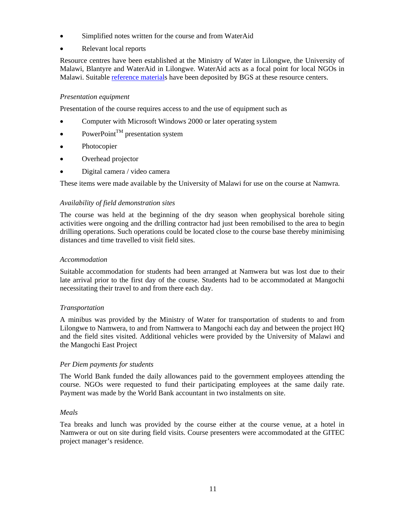- Simplified notes written for the course and from WaterAid
- Relevant local reports

Resource centres have been established at the Ministry of Water in Lilongwe, the University of Malawi, Blantyre and WaterAid in Lilongwe. WaterAid acts as a focal point for local NGOs in Malawi. Suitable reference materials have been deposited by BGS at these resource centers.

#### *Presentation equipment*

Presentation of the course requires access to and the use of equipment such as

- Computer with Microsoft Windows 2000 or later operating system
- PowerPoint<sup>TM</sup> presentation system
- Photocopier
- Overhead projector
- Digital camera / video camera

These items were made available by the University of Malawi for use on the course at Namwra.

#### *Availability of field demonstration sites*

The course was held at the beginning of the dry season when geophysical borehole siting activities were ongoing and the drilling contractor had just been remobilised to the area to begin drilling operations. Such operations could be located close to the course base thereby minimising distances and time travelled to visit field sites.

#### *Accommodation*

Suitable accommodation for students had been arranged at Namwera but was lost due to their late arrival prior to the first day of the course. Students had to be accommodated at Mangochi necessitating their travel to and from there each day.

#### *Transportation*

A minibus was provided by the Ministry of Water for transportation of students to and from Lilongwe to Namwera, to and from Namwera to Mangochi each day and between the project HQ and the field sites visited. Additional vehicles were provided by the University of Malawi and the Mangochi East Project

#### *Per Diem payments for students*

The World Bank funded the daily allowances paid to the government employees attending the course. NGOs were requested to fund their participating employees at the same daily rate. Payment was made by the World Bank accountant in two instalments on site.

#### *Meals*

Tea breaks and lunch was provided by the course either at the course venue, at a hotel in Namwera or out on site during field visits. Course presenters were accommodated at the GITEC project manager's residence.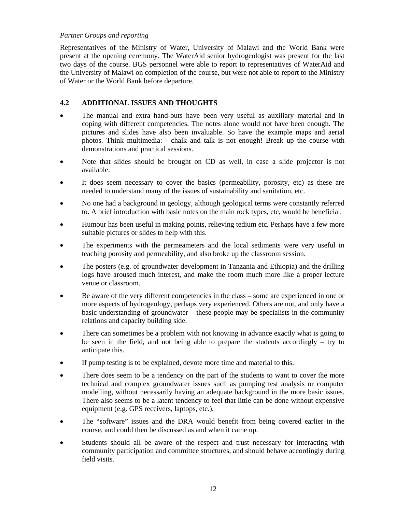## *Partner Groups and reporting*

Representatives of the Ministry of Water, University of Malawi and the World Bank were present at the opening ceremony. The WaterAid senior hydrogeologist was present for the last two days of the course. BGS personnel were able to report to representatives of WaterAid and the University of Malawi on completion of the course, but were not able to report to the Ministry of Water or the World Bank before departure.

# **4.2 ADDITIONAL ISSUES AND THOUGHTS**

- The manual and extra hand-outs have been very useful as auxiliary material and in coping with different competencies. The notes alone would not have been enough. The pictures and slides have also been invaluable. So have the example maps and aerial photos. Think multimedia: - chalk and talk is not enough! Break up the course with demonstrations and practical sessions.
- Note that slides should be brought on CD as well, in case a slide projector is not available.
- It does seem necessary to cover the basics (permeability, porosity, etc) as these are needed to understand many of the issues of sustainability and sanitation, etc.
- No one had a background in geology, although geological terms were constantly referred to. A brief introduction with basic notes on the main rock types, etc, would be beneficial.
- Humour has been useful in making points, relieving tedium etc. Perhaps have a few more suitable pictures or slides to help with this.
- The experiments with the permeameters and the local sediments were very useful in teaching porosity and permeability, and also broke up the classroom session.
- The posters (e.g. of groundwater development in Tanzania and Ethiopia) and the drilling logs have aroused much interest, and make the room much more like a proper lecture venue or classroom.
- Be aware of the very different competencies in the class some are experienced in one or more aspects of hydrogeology, perhaps very experienced. Others are not, and only have a basic understanding of groundwater – these people may be specialists in the community relations and capacity building side.
- There can sometimes be a problem with not knowing in advance exactly what is going to be seen in the field, and not being able to prepare the students accordingly – try to anticipate this.
- If pump testing is to be explained, devote more time and material to this.
- There does seem to be a tendency on the part of the students to want to cover the more technical and complex groundwater issues such as pumping test analysis or computer modelling, without necessarily having an adequate background in the more basic issues. There also seems to be a latent tendency to feel that little can be done without expensive equipment (e.g. GPS receivers, laptops, etc.).
- The "software" issues and the DRA would benefit from being covered earlier in the course, and could then be discussed as and when it came up.
- Students should all be aware of the respect and trust necessary for interacting with community participation and committee structures, and should behave accordingly during field visits.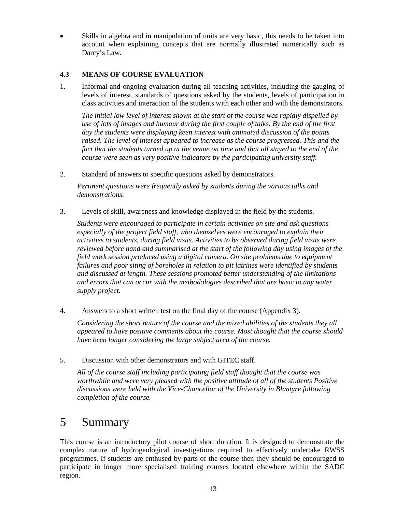Skills in algebra and in manipulation of units are very basic, this needs to be taken into account when explaining concepts that are normally illustrated numerically such as Darcy's Law.

# **4.3 MEANS OF COURSE EVALUATION**

1. Informal and ongoing evaluation during all teaching activities, including the gauging of levels of interest, standards of questions asked by the students, levels of participation in class activities and interaction of the students with each other and with the demonstrators.

*The initial low level of interest shown at the start of the course was rapidly dispelled by use of lots of images and humour during the first couple of talks. By the end of the first day the students were displaying keen interest with animated discussion of the points raised. The level of interest appeared to increase as the course progressed. This and the fact that the students turned up at the venue on time and that all stayed to the end of the course were seen as very positive indicators by the participating university staff.* 

2. Standard of answers to specific questions asked by demonstrators.

*Pertinent questions were frequently asked by students during the various talks and demonstrations.* 

3. Levels of skill, awareness and knowledge displayed in the field by the students.

*Students were encouraged to participate in certain activities on site and ask questions especially of the project field staff, who themselves were encouraged to explain their activities to students, during field visits. Activities to be observed during field visits were reviewed before hand and summarised at the start of the following day using images of the field work session produced using a digital camera. On site problems due to equipment failures and poor siting of boreholes in relation to pit latrines were identified by students and discussed at length. These sessions promoted better understanding of the limitations and errors that can occur with the methodologies described that are basic to any water supply project.* 

4. Answers to a short written test on the final day of the course (Appendix 3).

*Considering the short nature of the course and the mixed abilities of the students they all appeared to have positive comments about the course. Most thought that the course should have been longer considering the large subject area of the course.* 

5. Discussion with other demonstrators and with GITEC staff.

*All of the course staff including participating field staff thought that the course was worthwhile and were very pleased with the positive attitude of all of the students Positive discussions were held with the Vice-Chancellor of the University in Blantyre following completion of the course.* 

# 5 Summary

This course is an introductory pilot course of short duration. It is designed to demonstrate the complex nature of hydrogeological investigations required to effectively undertake RWSS programmes. If students are enthused by parts of the course then they should be encouraged to participate in longer more specialised training courses located elsewhere within the SADC region.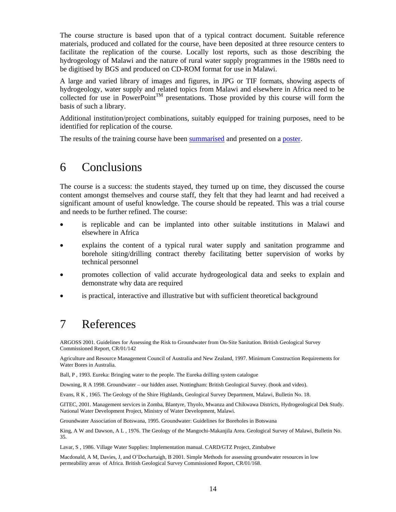The course structure is based upon that of a typical contract document. Suitable reference materials, produced and collated for the course, have been deposited at three resource centers to facilitate the replication of the course. Locally lost reports, such as those describing the hydrogeology of Malawi and the nature of rural water supply programmes in the 1980s need to be digitised by BGS and produced on CD-ROM format for use in Malawi.

A large and varied library of images and figures, in JPG or TIF formats, showing aspects of hydrogeology, water supply and related topics from Malawi and elsewhere in Africa need to be collected for use in PowerPoint<sup>TM</sup> presentations. Those provided by this course will form the basis of such a library.

Additional institution/project combinations, suitably equipped for training purposes, need to be identified for replication of the course.

The results of the training course have been summarised and presented on a poster.

# 6 Conclusions

The course is a success: the students stayed, they turned up on time, they discussed the course content amongst themselves and course staff, they felt that they had learnt and had received a significant amount of useful knowledge. The course should be repeated. This was a trial course and needs to be further refined. The course:

- is replicable and can be implanted into other suitable institutions in Malawi and elsewhere in Africa
- explains the content of a typical rural water supply and sanitation programme and borehole siting/drilling contract thereby facilitating better supervision of works by technical personnel
- promotes collection of valid accurate hydrogeological data and seeks to explain and demonstrate why data are required
- is practical, interactive and illustrative but with sufficient theoretical background

# 7 References

ARGOSS 2001. Guidelines for Assessing the Risk to Groundwater from On-Site Sanitation. British Geological Survey Commissioned Report, CR/01/142

Agriculture and Resource Management Council of Australia and New Zealand, 1997. Minimum Construction Requirements for Water Bores in Australia.

Ball, P , 1993. Eureka: Bringing water to the people. The Eureka drilling system catalogue

Downing, R A 1998. Groundwater – our hidden asset. Nottingham: British Geological Survey. (book and video).

Evans, R K , 1965. The Geology of the Shire Highlands, Geological Survey Department, Malawi, Bulletin No. 18.

GITEC, 2001. Management services in Zomba, Blantyre, Thyolo, Mwanza and Chikwawa Districts, Hydrogeological Dek Study. National Water Development Project, Ministry of Water Development, Malawi.

Groundwater Association of Botswana, 1995. Groundwater: Guidelines for Boreholes in Botswana

King, A W and Dawson, A L , 1976. The Geology of the Mangochi-Makanjila Area. Geological Survey of Malawi, Bulletin No. 35.

Lavar, S , 1986. Village Water Supplies: Implementation manual. CARD/GTZ Project, Zimbabwe

Macdonald, A M, Davies, J, and O'Dochartaigh, B 2001. Simple Methods for assessing groundwater resources in low permeability areas of Africa. British Geological Survey Commissioned Report, CR/01/168.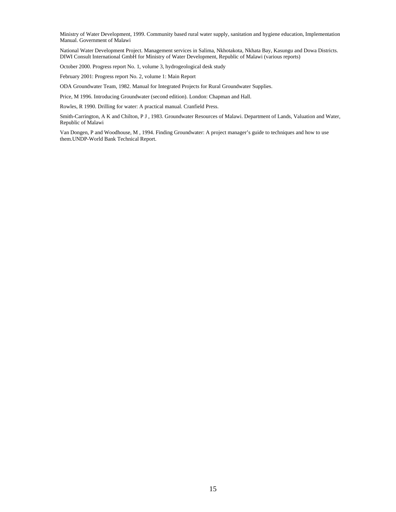Ministry of Water Development, 1999. Community based rural water supply, sanitation and hygiene education, Implementation Manual. Government of Malawi

National Water Development Project. Management services in Salima, Nkhotakota, Nkhata Bay, Kasungu and Dowa Districts. DIWI Consult International GmbH for Ministry of Water Development, Republic of Malawi (various reports)

October 2000. Progress report No. 1, volume 3, hydrogeological desk study

February 2001: Progress report No. 2, volume 1: Main Report

ODA Groundwater Team, 1982. Manual for Integrated Projects for Rural Groundwater Supplies.

Price, M 1996. Introducing Groundwater (second edition). London: Chapman and Hall.

Rowles, R 1990. Drilling for water: A practical manual. Cranfield Press.

Smith-Carrington, A K and Chilton, P J , 1983. Groundwater Resources of Malawi. Department of Lands, Valuation and Water, Republic of Malawi

Van Dongen, P and Woodhouse, M , 1994. Finding Groundwater: A project manager's guide to techniques and how to use them.UNDP-World Bank Technical Report.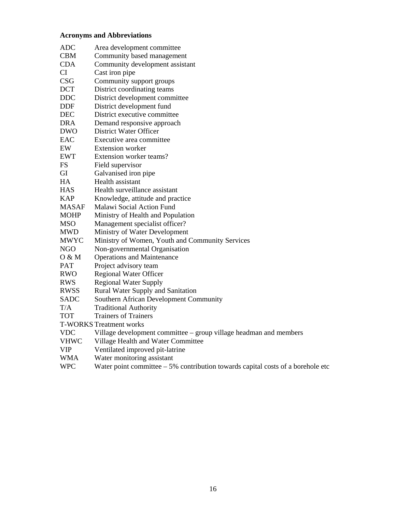# **Acronyms and Abbreviations**

| ADC         | Area development committee                                        |
|-------------|-------------------------------------------------------------------|
| CBM         | Community based management                                        |
| CDA         | Community development assistant                                   |
| CI          | Cast iron pipe                                                    |
| CSG         | Community support groups                                          |
| <b>DCT</b>  | District coordinating teams                                       |
| DDC         | District development committee                                    |
| DDF         | District development fund                                         |
| DEC         | District executive committee                                      |
| DRA         | Demand responsive approach                                        |
| DWO         | District Water Officer                                            |
| EAC         | Executive area committee                                          |
| EW          | <b>Extension</b> worker                                           |
| EWT         | Extension worker teams?                                           |
| FS          | Field supervisor                                                  |
| GI          | Galvanised iron pipe                                              |
| HA          | Health assistant                                                  |
| <b>HAS</b>  | Health surveillance assistant                                     |
| <b>KAP</b>  | Knowledge, attitude and practice                                  |
| MASAF       | Malawi Social Action Fund                                         |
| MOHP        | Ministry of Health and Population                                 |
| MSO         | Management specialist officer?                                    |
| MWD         | Ministry of Water Development                                     |
| MWYC        | Ministry of Women, Youth and Community Services                   |
| NGO         | Non-governmental Organisation                                     |
| 0 & M       | <b>Operations and Maintenance</b>                                 |
| PAT         | Project advisory team                                             |
| RWO         | Regional Water Officer                                            |
| RWS         | <b>Regional Water Supply</b>                                      |
| RWSS        | Rural Water Supply and Sanitation                                 |
| <b>SADC</b> | Southern African Development Community                            |
| T/A         | <b>Traditional Authority</b>                                      |
| TOT         | <b>Trainers of Trainers</b>                                       |
|             | <b>T-WORKS Treatment works</b>                                    |
| <b>VDC</b>  | Village development committee – group village headman and members |
| VHWC        | Village Health and Water Committee                                |
| VIP         | Ventilated improved pit-latrine                                   |
| WMA         | Water monitoring assistant                                        |

WPC Water point committee – 5% contribution towards capital costs of a borehole etc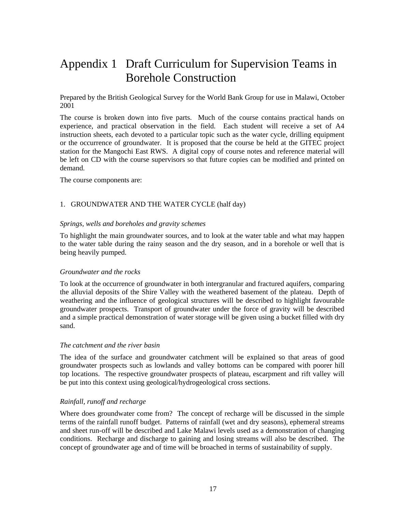# Appendix 1 Draft Curriculum for Supervision Teams in Borehole Construction

Prepared by the British Geological Survey for the World Bank Group for use in Malawi, October 2001

The course is broken down into five parts. Much of the course contains practical hands on experience, and practical observation in the field. Each student will receive a set of A4 instruction sheets, each devoted to a particular topic such as the water cycle, drilling equipment or the occurrence of groundwater. It is proposed that the course be held at the GITEC project station for the Mangochi East RWS. A digital copy of course notes and reference material will be left on CD with the course supervisors so that future copies can be modified and printed on demand.

The course components are:

## 1. GROUNDWATER AND THE WATER CYCLE (half day)

#### *Springs, wells and boreholes and gravity schemes*

To highlight the main groundwater sources, and to look at the water table and what may happen to the water table during the rainy season and the dry season, and in a borehole or well that is being heavily pumped.

#### *Groundwater and the rocks*

To look at the occurrence of groundwater in both intergranular and fractured aquifers, comparing the alluvial deposits of the Shire Valley with the weathered basement of the plateau. Depth of weathering and the influence of geological structures will be described to highlight favourable groundwater prospects. Transport of groundwater under the force of gravity will be described and a simple practical demonstration of water storage will be given using a bucket filled with dry sand.

#### *The catchment and the river basin*

The idea of the surface and groundwater catchment will be explained so that areas of good groundwater prospects such as lowlands and valley bottoms can be compared with poorer hill top locations. The respective groundwater prospects of plateau, escarpment and rift valley will be put into this context using geological/hydrogeological cross sections.

#### *Rainfall, runoff and recharge*

Where does groundwater come from? The concept of recharge will be discussed in the simple terms of the rainfall runoff budget. Patterns of rainfall (wet and dry seasons), ephemeral streams and sheet run-off will be described and Lake Malawi levels used as a demonstration of changing conditions. Recharge and discharge to gaining and losing streams will also be described. The concept of groundwater age and of time will be broached in terms of sustainability of supply.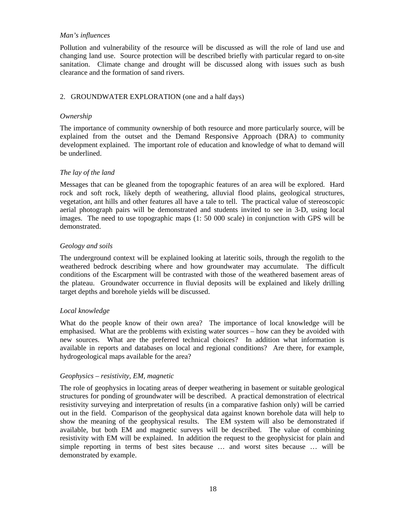#### *Man's influences*

Pollution and vulnerability of the resource will be discussed as will the role of land use and changing land use. Source protection will be described briefly with particular regard to on-site sanitation. Climate change and drought will be discussed along with issues such as bush clearance and the formation of sand rivers.

## 2. GROUNDWATER EXPLORATION (one and a half days)

#### *Ownership*

The importance of community ownership of both resource and more particularly source, will be explained from the outset and the Demand Responsive Approach (DRA) to community development explained. The important role of education and knowledge of what to demand will be underlined.

#### *The lay of the land*

Messages that can be gleaned from the topographic features of an area will be explored. Hard rock and soft rock, likely depth of weathering, alluvial flood plains, geological structures, vegetation, ant hills and other features all have a tale to tell. The practical value of stereoscopic aerial photograph pairs will be demonstrated and students invited to see in 3-D, using local images. The need to use topographic maps (1: 50 000 scale) in conjunction with GPS will be demonstrated.

#### *Geology and soils*

The underground context will be explained looking at lateritic soils, through the regolith to the weathered bedrock describing where and how groundwater may accumulate. The difficult conditions of the Escarpment will be contrasted with those of the weathered basement areas of the plateau. Groundwater occurrence in fluvial deposits will be explained and likely drilling target depths and borehole yields will be discussed.

## *Local knowledge*

What do the people know of their own area? The importance of local knowledge will be emphasised. What are the problems with existing water sources – how can they be avoided with new sources. What are the preferred technical choices? In addition what information is available in reports and databases on local and regional conditions? Are there, for example, hydrogeological maps available for the area?

#### *Geophysics – resistivity, EM, magnetic*

The role of geophysics in locating areas of deeper weathering in basement or suitable geological structures for ponding of groundwater will be described. A practical demonstration of electrical resistivity surveying and interpretation of results (in a comparative fashion only) will be carried out in the field. Comparison of the geophysical data against known borehole data will help to show the meaning of the geophysical results. The EM system will also be demonstrated if available, but both EM and magnetic surveys will be described. The value of combining resistivity with EM will be explained. In addition the request to the geophysicist for plain and simple reporting in terms of best sites because … and worst sites because … will be demonstrated by example.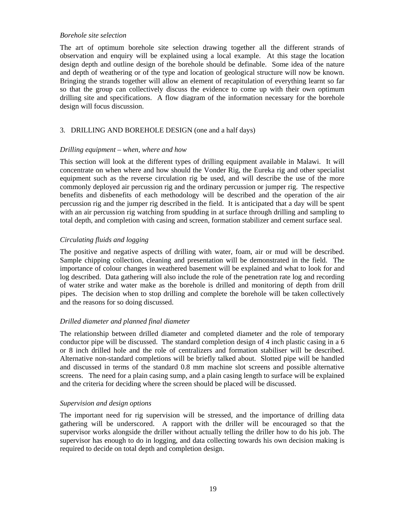#### *Borehole site selection*

The art of optimum borehole site selection drawing together all the different strands of observation and enquiry will be explained using a local example. At this stage the location design depth and outline design of the borehole should be definable. Some idea of the nature and depth of weathering or of the type and location of geological structure will now be known. Bringing the strands together will allow an element of recapitulation of everything learnt so far so that the group can collectively discuss the evidence to come up with their own optimum drilling site and specifications. A flow diagram of the information necessary for the borehole design will focus discussion.

## 3. DRILLING AND BOREHOLE DESIGN (one and a half days)

#### *Drilling equipment – when, where and how*

This section will look at the different types of drilling equipment available in Malawi. It will concentrate on when where and how should the Vonder Rig, the Eureka rig and other specialist equipment such as the reverse circulation rig be used, and will describe the use of the more commonly deployed air percussion rig and the ordinary percussion or jumper rig. The respective benefits and disbenefits of each methodology will be described and the operation of the air percussion rig and the jumper rig described in the field. It is anticipated that a day will be spent with an air percussion rig watching from spudding in at surface through drilling and sampling to total depth, and completion with casing and screen, formation stabilizer and cement surface seal.

#### *Circulating fluids and logging*

The positive and negative aspects of drilling with water, foam, air or mud will be described. Sample chipping collection, cleaning and presentation will be demonstrated in the field. The importance of colour changes in weathered basement will be explained and what to look for and log described. Data gathering will also include the role of the penetration rate log and recording of water strike and water make as the borehole is drilled and monitoring of depth from drill pipes. The decision when to stop drilling and complete the borehole will be taken collectively and the reasons for so doing discussed.

## *Drilled diameter and planned final diameter*

The relationship between drilled diameter and completed diameter and the role of temporary conductor pipe will be discussed. The standard completion design of 4 inch plastic casing in a 6 or 8 inch drilled hole and the role of centralizers and formation stabiliser will be described. Alternative non-standard completions will be briefly talked about. Slotted pipe will be handled and discussed in terms of the standard 0.8 mm machine slot screens and possible alternative screens. The need for a plain casing sump, and a plain casing length to surface will be explained and the criteria for deciding where the screen should be placed will be discussed.

#### *Supervision and design options*

The important need for rig supervision will be stressed, and the importance of drilling data gathering will be underscored. A rapport with the driller will be encouraged so that the supervisor works alongside the driller without actually telling the driller how to do his job. The supervisor has enough to do in logging, and data collecting towards his own decision making is required to decide on total depth and completion design.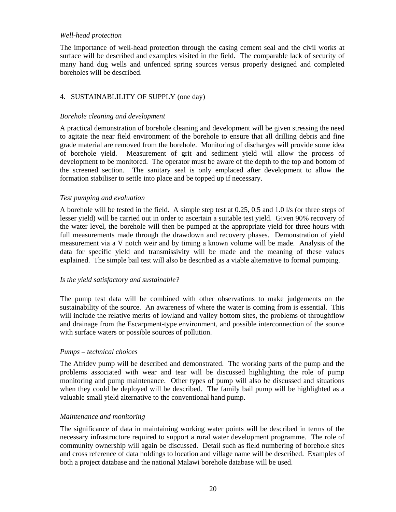#### *Well-head protection*

The importance of well-head protection through the casing cement seal and the civil works at surface will be described and examples visited in the field. The comparable lack of security of many hand dug wells and unfenced spring sources versus properly designed and completed boreholes will be described.

## 4. SUSTAINABLILITY OF SUPPLY (one day)

#### *Borehole cleaning and development*

A practical demonstration of borehole cleaning and development will be given stressing the need to agitate the near field environment of the borehole to ensure that all drilling debris and fine grade material are removed from the borehole. Monitoring of discharges will provide some idea of borehole yield. Measurement of grit and sediment yield will allow the process of development to be monitored. The operator must be aware of the depth to the top and bottom of the screened section. The sanitary seal is only emplaced after development to allow the formation stabiliser to settle into place and be topped up if necessary.

#### *Test pumping and evaluation*

A borehole will be tested in the field. A simple step test at 0.25, 0.5 and 1.0 l/s (or three steps of lesser yield) will be carried out in order to ascertain a suitable test yield. Given 90% recovery of the water level, the borehole will then be pumped at the appropriate yield for three hours with full measurements made through the drawdown and recovery phases. Demonstration of yield measurement via a V notch weir and by timing a known volume will be made. Analysis of the data for specific yield and transmissivity will be made and the meaning of these values explained. The simple bail test will also be described as a viable alternative to formal pumping.

#### *Is the yield satisfactory and sustainable?*

The pump test data will be combined with other observations to make judgements on the sustainability of the source. An awareness of where the water is coming from is essential. This will include the relative merits of lowland and valley bottom sites, the problems of throughflow and drainage from the Escarpment-type environment, and possible interconnection of the source with surface waters or possible sources of pollution.

#### *Pumps – technical choices*

The Afridev pump will be described and demonstrated. The working parts of the pump and the problems associated with wear and tear will be discussed highlighting the role of pump monitoring and pump maintenance. Other types of pump will also be discussed and situations when they could be deployed will be described. The family bail pump will be highlighted as a valuable small yield alternative to the conventional hand pump.

#### *Maintenance and monitoring*

The significance of data in maintaining working water points will be described in terms of the necessary infrastructure required to support a rural water development programme. The role of community ownership will again be discussed. Detail such as field numbering of borehole sites and cross reference of data holdings to location and village name will be described. Examples of both a project database and the national Malawi borehole database will be used.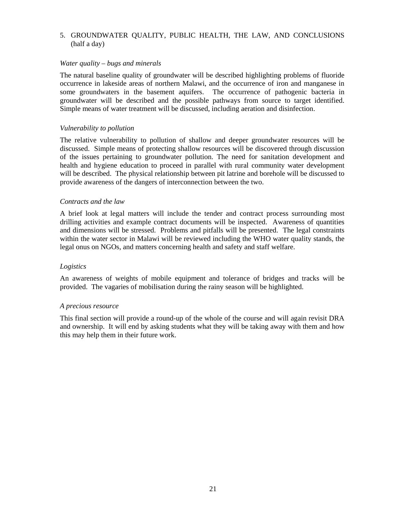## 5. GROUNDWATER QUALITY, PUBLIC HEALTH, THE LAW, AND CONCLUSIONS (half a day)

#### *Water quality – bugs and minerals*

The natural baseline quality of groundwater will be described highlighting problems of fluoride occurrence in lakeside areas of northern Malawi, and the occurrence of iron and manganese in some groundwaters in the basement aquifers. The occurrence of pathogenic bacteria in groundwater will be described and the possible pathways from source to target identified. Simple means of water treatment will be discussed, including aeration and disinfection.

#### *Vulnerability to pollution*

The relative vulnerability to pollution of shallow and deeper groundwater resources will be discussed. Simple means of protecting shallow resources will be discovered through discussion of the issues pertaining to groundwater pollution. The need for sanitation development and health and hygiene education to proceed in parallel with rural community water development will be described. The physical relationship between pit latrine and borehole will be discussed to provide awareness of the dangers of interconnection between the two.

#### *Contracts and the law*

A brief look at legal matters will include the tender and contract process surrounding most drilling activities and example contract documents will be inspected. Awareness of quantities and dimensions will be stressed. Problems and pitfalls will be presented. The legal constraints within the water sector in Malawi will be reviewed including the WHO water quality stands, the legal onus on NGOs, and matters concerning health and safety and staff welfare.

## *Logistics*

An awareness of weights of mobile equipment and tolerance of bridges and tracks will be provided. The vagaries of mobilisation during the rainy season will be highlighted.

#### *A precious resource*

This final section will provide a round-up of the whole of the course and will again revisit DRA and ownership. It will end by asking students what they will be taking away with them and how this may help them in their future work.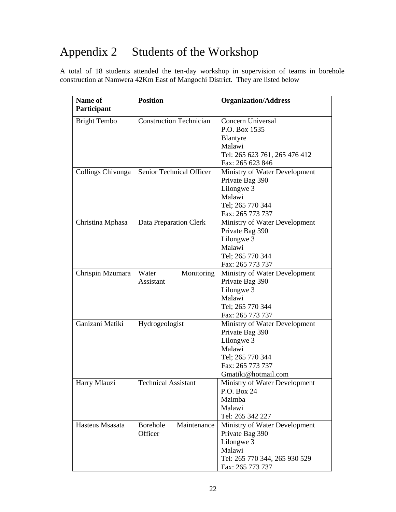# Appendix 2 Students of the Workshop

A total of 18 students attended the ten-day workshop in supervision of teams in borehole construction at Namwera 42Km East of Mangochi District. They are listed below

| Name of             | <b>Position</b>                | <b>Organization/Address</b>   |
|---------------------|--------------------------------|-------------------------------|
| Participant         |                                |                               |
| <b>Bright Tembo</b> | <b>Construction Technician</b> | Concern Universal             |
|                     |                                | P.O. Box 1535                 |
|                     |                                | Blantyre                      |
|                     |                                | Malawi                        |
|                     |                                | Tel: 265 623 761, 265 476 412 |
|                     |                                | Fax: 265 623 846              |
| Collings Chivunga   | Senior Technical Officer       | Ministry of Water Development |
|                     |                                | Private Bag 390               |
|                     |                                | Lilongwe 3                    |
|                     |                                | Malawi                        |
|                     |                                | Tel; 265 770 344              |
|                     |                                | Fax: 265 773 737              |
| Christina Mphasa    | Data Preparation Clerk         | Ministry of Water Development |
|                     |                                | Private Bag 390               |
|                     |                                | Lilongwe 3                    |
|                     |                                | Malawi                        |
|                     |                                | Tel; 265 770 344              |
|                     |                                | Fax: 265 773 737              |
| Chrispin Mzumara    | Water<br>Monitoring            | Ministry of Water Development |
|                     | <b>Assistant</b>               | Private Bag 390               |
|                     |                                | Lilongwe 3                    |
|                     |                                | Malawi                        |
|                     |                                | Tel; 265 770 344              |
|                     |                                | Fax: 265 773 737              |
| Ganizani Matiki     | Hydrogeologist                 | Ministry of Water Development |
|                     |                                | Private Bag 390               |
|                     |                                | Lilongwe 3                    |
|                     |                                | Malawi                        |
|                     |                                | Tel; 265 770 344              |
|                     |                                | Fax: 265 773 737              |
|                     |                                | Gmatiki@hotmail.com           |
| Harry Mlauzi        | <b>Technical Assistant</b>     | Ministry of Water Development |
|                     |                                | P.O. Box 24                   |
|                     |                                | Mzimba                        |
|                     |                                | Malawi                        |
|                     |                                | Tel: 265 342 227              |
| Hasteus Msasata     | Maintenance<br>Borehole        | Ministry of Water Development |
|                     | Officer                        | Private Bag 390               |
|                     |                                | Lilongwe 3                    |
|                     |                                | Malawi                        |
|                     |                                | Tel: 265 770 344, 265 930 529 |
|                     |                                | Fax: 265 773 737              |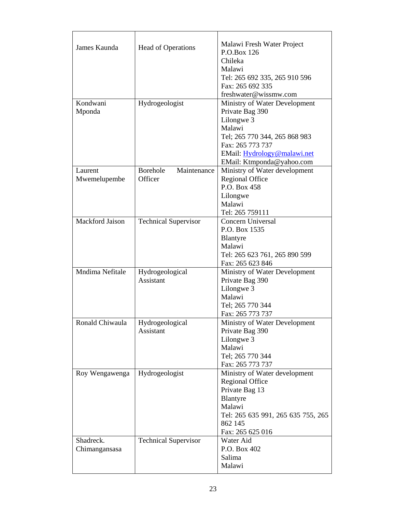| James Kaunda       | Head of Operations           | Malawi Fresh Water Project<br>P.O.Box 126<br>Chileka<br>Malawi<br>Tel: 265 692 335, 265 910 596<br>Fax: 265 692 335<br>freshwater@wissmw.com |
|--------------------|------------------------------|----------------------------------------------------------------------------------------------------------------------------------------------|
| Kondwani<br>Mponda | Hydrogeologist               | Ministry of Water Development<br>Private Bag 390                                                                                             |
|                    |                              | Lilongwe 3                                                                                                                                   |
|                    |                              | Malawi                                                                                                                                       |
|                    |                              | Tel; 265 770 344, 265 868 983                                                                                                                |
|                    |                              | Fax: 265 773 737                                                                                                                             |
|                    |                              | EMail: Hydrology@malawi.net                                                                                                                  |
|                    |                              | EMail: Ktmponda@yahoo.com                                                                                                                    |
| Laurent            | Borehole<br>Maintenance      | Ministry of Water development                                                                                                                |
| Mwemelupembe       | Officer                      | <b>Regional Office</b>                                                                                                                       |
|                    |                              | P.O. Box 458                                                                                                                                 |
|                    |                              | Lilongwe                                                                                                                                     |
|                    |                              | Malawi                                                                                                                                       |
|                    |                              | Tel: 265 759111                                                                                                                              |
| Mackford Jaison    | <b>Technical Supervisor</b>  | Concern Universal                                                                                                                            |
|                    |                              | P.O. Box 1535                                                                                                                                |
|                    |                              | Blantyre                                                                                                                                     |
|                    |                              | Malawi                                                                                                                                       |
|                    |                              | Tel: 265 623 761, 265 890 599                                                                                                                |
|                    |                              | Fax: 265 623 846                                                                                                                             |
| Mndima Nefitale    | Hydrogeological              | Ministry of Water Development                                                                                                                |
|                    | Assistant                    | Private Bag 390                                                                                                                              |
|                    |                              | Lilongwe 3                                                                                                                                   |
|                    |                              | Malawi                                                                                                                                       |
|                    |                              | Tel; 265 770 344                                                                                                                             |
|                    |                              | Fax: 265 773 737                                                                                                                             |
| Ronald Chiwaula    | Hydrogeological<br>Assistant | Ministry of Water Development<br>Private Bag 390                                                                                             |
|                    |                              | Lilongwe 3                                                                                                                                   |
|                    |                              | Malawi                                                                                                                                       |
|                    |                              | Tel; 265 770 344                                                                                                                             |
|                    |                              | Fax: 265 773 737                                                                                                                             |
| Roy Wengawenga     | Hydrogeologist               | Ministry of Water development                                                                                                                |
|                    |                              | <b>Regional Office</b>                                                                                                                       |
|                    |                              | Private Bag 13                                                                                                                               |
|                    |                              | Blantyre                                                                                                                                     |
|                    |                              | Malawi                                                                                                                                       |
|                    |                              | Tel: 265 635 991, 265 635 755, 265                                                                                                           |
|                    |                              | 862 145                                                                                                                                      |
|                    |                              | Fax: 265 625 016                                                                                                                             |
| Shadreck.          | <b>Technical Supervisor</b>  | Water Aid                                                                                                                                    |
| Chimangansasa      |                              | P.O. Box 402                                                                                                                                 |
|                    |                              | Salima                                                                                                                                       |
|                    |                              | Malawi                                                                                                                                       |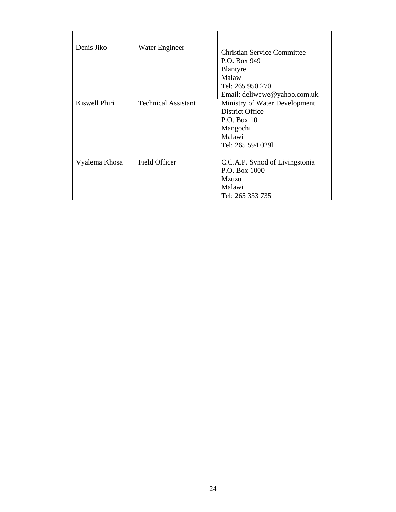| Denis Jiko    | Water Engineer             | Christian Service Committee<br>P.O. Box 949<br>Blantyre<br>Malaw<br>Tel: 265 950 270<br>Email: deliwewe@yahoo.com.uk |
|---------------|----------------------------|----------------------------------------------------------------------------------------------------------------------|
| Kiswell Phiri | <b>Technical Assistant</b> | Ministry of Water Development<br>District Office<br>P.O. Box 10<br>Mangochi<br>Malawi<br>Tel: 265 594 0291           |
| Vyalema Khosa | Field Officer              | C.C.A.P. Synod of Livingstonia<br>P.O. Box 1000<br>Mzuzu<br>Malawi<br>Tel: 265 333 735                               |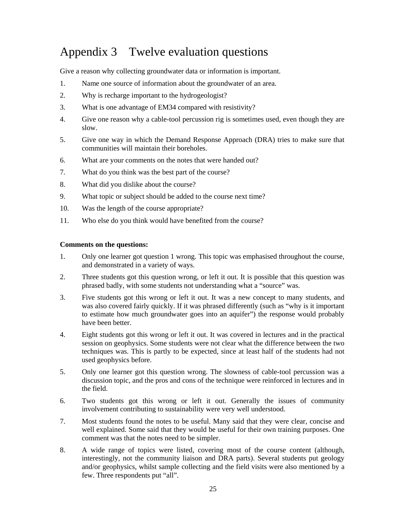# Appendix 3 Twelve evaluation questions

Give a reason why collecting groundwater data or information is important.

- 1. Name one source of information about the groundwater of an area.
- 2. Why is recharge important to the hydrogeologist?
- 3. What is one advantage of EM34 compared with resistivity?
- 4. Give one reason why a cable-tool percussion rig is sometimes used, even though they are slow.
- 5. Give one way in which the Demand Response Approach (DRA) tries to make sure that communities will maintain their boreholes.
- 6. What are your comments on the notes that were handed out?
- 7. What do you think was the best part of the course?
- 8. What did you dislike about the course?
- 9. What topic or subject should be added to the course next time?
- 10. Was the length of the course appropriate?
- 11. Who else do you think would have benefited from the course?

#### **Comments on the questions:**

- 1. Only one learner got question 1 wrong. This topic was emphasised throughout the course, and demonstrated in a variety of ways.
- 2. Three students got this question wrong, or left it out. It is possible that this question was phrased badly, with some students not understanding what a "source" was.
- 3. Five students got this wrong or left it out. It was a new concept to many students, and was also covered fairly quickly. If it was phrased differently (such as "why is it important to estimate how much groundwater goes into an aquifer") the response would probably have been better.
- 4. Eight students got this wrong or left it out. It was covered in lectures and in the practical session on geophysics. Some students were not clear what the difference between the two techniques was. This is partly to be expected, since at least half of the students had not used geophysics before.
- 5. Only one learner got this question wrong. The slowness of cable-tool percussion was a discussion topic, and the pros and cons of the technique were reinforced in lectures and in the field.
- 6. Two students got this wrong or left it out. Generally the issues of community involvement contributing to sustainability were very well understood.
- 7. Most students found the notes to be useful. Many said that they were clear, concise and well explained. Some said that they would be useful for their own training purposes. One comment was that the notes need to be simpler.
- 8. A wide range of topics were listed, covering most of the course content (although, interestingly, not the community liaison and DRA parts). Several students put geology and/or geophysics, whilst sample collecting and the field visits were also mentioned by a few. Three respondents put "all".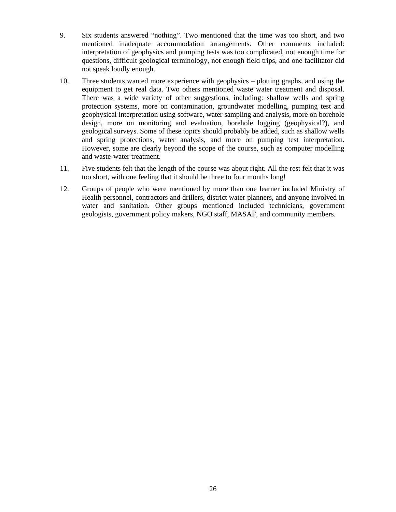- 9. Six students answered "nothing". Two mentioned that the time was too short, and two mentioned inadequate accommodation arrangements. Other comments included: interpretation of geophysics and pumping tests was too complicated, not enough time for questions, difficult geological terminology, not enough field trips, and one facilitator did not speak loudly enough.
- 10. Three students wanted more experience with geophysics plotting graphs, and using the equipment to get real data. Two others mentioned waste water treatment and disposal. There was a wide variety of other suggestions, including: shallow wells and spring protection systems, more on contamination, groundwater modelling, pumping test and geophysical interpretation using software, water sampling and analysis, more on borehole design, more on monitoring and evaluation, borehole logging (geophysical?), and geological surveys. Some of these topics should probably be added, such as shallow wells and spring protections, water analysis, and more on pumping test interpretation. However, some are clearly beyond the scope of the course, such as computer modelling and waste-water treatment.
- 11. Five students felt that the length of the course was about right. All the rest felt that it was too short, with one feeling that it should be three to four months long!
- 12. Groups of people who were mentioned by more than one learner included Ministry of Health personnel, contractors and drillers, district water planners, and anyone involved in water and sanitation. Other groups mentioned included technicians, government geologists, government policy makers, NGO staff, MASAF, and community members.